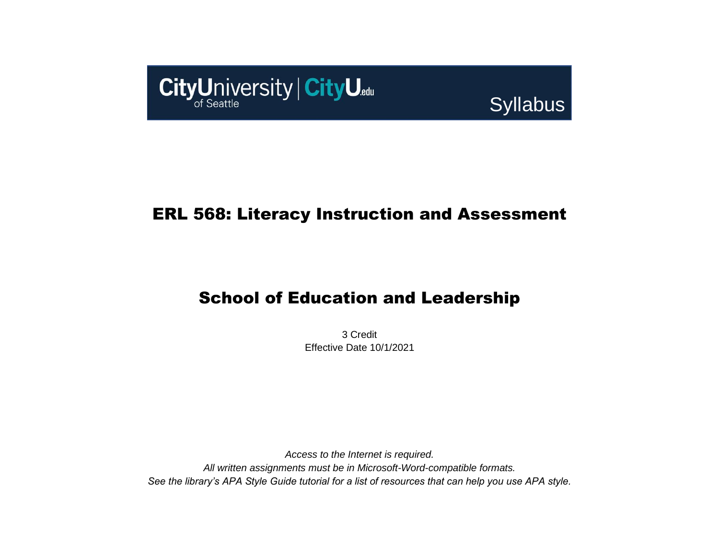

**Syllabus** 

### ERL 568: Literacy Instruction and Assessment

### School of Education and Leadership

3 Credit Effective Date 10/1/2021

*Access to the Internet is required. All written assignments must be in Microsoft-Word-compatible formats. See the library's APA Style Guide tutorial for a list of resources that can help you use APA style.*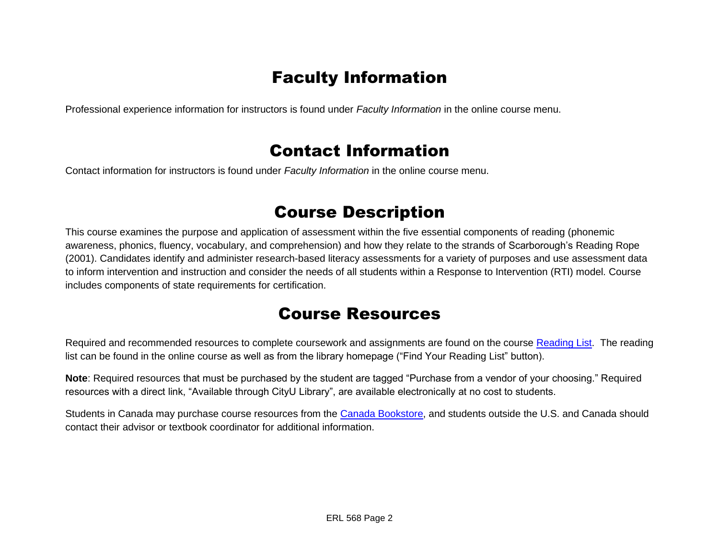# Faculty Information

Professional experience information for instructors is found under *Faculty Information* in the online course menu.

# Contact Information

Contact information for instructors is found under *Faculty Information* in the online course menu.

### Course Description

This course examines the purpose and application of assessment within the five essential components of reading (phonemic awareness, phonics, fluency, vocabulary, and comprehension) and how they relate to the strands of Scarborough's Reading Rope (2001). Candidates identify and administer research-based literacy assessments for a variety of purposes and use assessment data to inform intervention and instruction and consider the needs of all students within a Response to Intervention (RTI) model. Course includes components of state requirements for certification.

## Course Resources

Required and recommended resources to complete coursework and assignments are found on the course [Reading List.](https://cityu.alma.exlibrisgroup.com/leganto/login?auth=SAML) The reading list can be found in the online course as well as from the library homepage ("Find Your Reading List" button).

**Note**: Required resources that must be purchased by the student are tagged "Purchase from a vendor of your choosing." Required resources with a direct link, "Available through CityU Library", are available electronically at no cost to students.

Students in Canada may purchase course resources from the [Canada Bookstore,](https://www.cityubookstore.ca/index.asp) and students outside the U.S. and Canada should contact their advisor or textbook coordinator for additional information.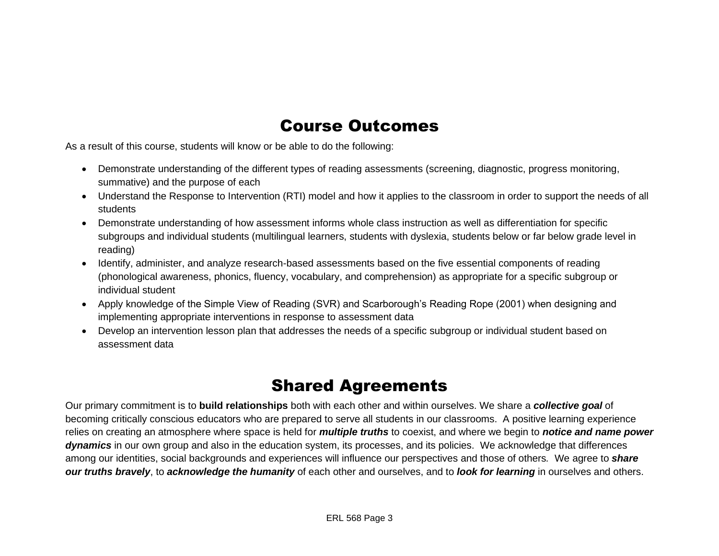## Course Outcomes

As a result of this course, students will know or be able to do the following:

- Demonstrate understanding of the different types of reading assessments (screening, diagnostic, progress monitoring, summative) and the purpose of each
- Understand the Response to Intervention (RTI) model and how it applies to the classroom in order to support the needs of all students
- Demonstrate understanding of how assessment informs whole class instruction as well as differentiation for specific subgroups and individual students (multilingual learners, students with dyslexia, students below or far below grade level in reading)
- Identify, administer, and analyze research-based assessments based on the five essential components of reading (phonological awareness, phonics, fluency, vocabulary, and comprehension) as appropriate for a specific subgroup or individual student
- Apply knowledge of the Simple View of Reading (SVR) and Scarborough's Reading Rope (2001) when designing and implementing appropriate interventions in response to assessment data
- Develop an intervention lesson plan that addresses the needs of a specific subgroup or individual student based on assessment data

# Shared Agreements

Our primary commitment is to **build relationships** both with each other and within ourselves. We share a *collective goal* of becoming critically conscious educators who are prepared to serve all students in our classrooms. A positive learning experience relies on creating an atmosphere where space is held for *multiple truths* to coexist, and where we begin to *notice and name power dynamics* in our own group and also in the education system, its processes, and its policies. We acknowledge that differences among our identities, social backgrounds and experiences will influence our perspectives and those of others*.* We agree to *share our truths bravely*, to *acknowledge the humanity* of each other and ourselves, and to *look for learning* in ourselves and others.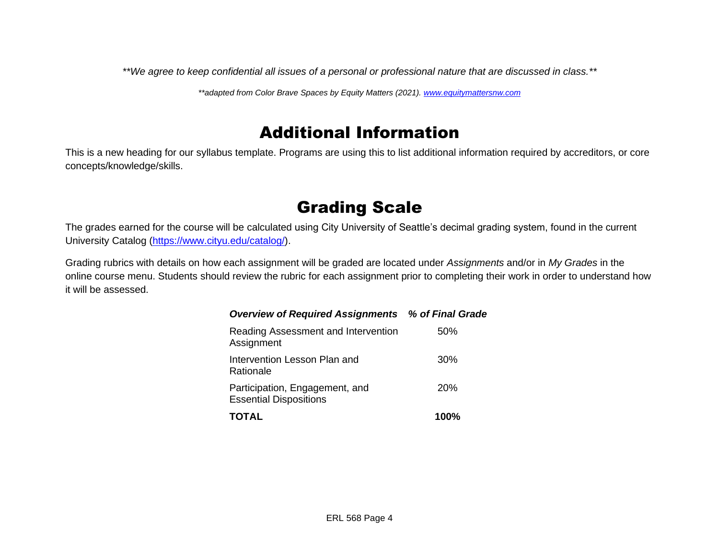*\*\*We agree to keep confidential all issues of a personal or professional nature that are discussed in class.\*\**

*\*\*adapted from Color Brave Spaces by Equity Matters (2021)[. www.equitymattersnw.com](http://www.equitymattersnw.com/)*

# Additional Information

This is a new heading for our syllabus template. Programs are using this to list additional information required by accreditors, or core concepts/knowledge/skills.

# Grading Scale

The grades earned for the course will be calculated using City University of Seattle's decimal grading system, found in the current University Catalog [\(https://www.cityu.edu/catalog/\)](https://www.cityu.edu/catalog/).

Grading rubrics with details on how each assignment will be graded are located under *Assignments* and/or in *My Grades* in the online course menu. Students should review the rubric for each assignment prior to completing their work in order to understand how it will be assessed.

| <b>Overview of Required Assignments % of Final Grade</b>        |      |
|-----------------------------------------------------------------|------|
| Reading Assessment and Intervention<br>Assignment               | 50%  |
| Intervention Lesson Plan and<br>Rationale                       | 30%  |
| Participation, Engagement, and<br><b>Essential Dispositions</b> | 20%  |
| <b>TOTAL</b>                                                    | 100% |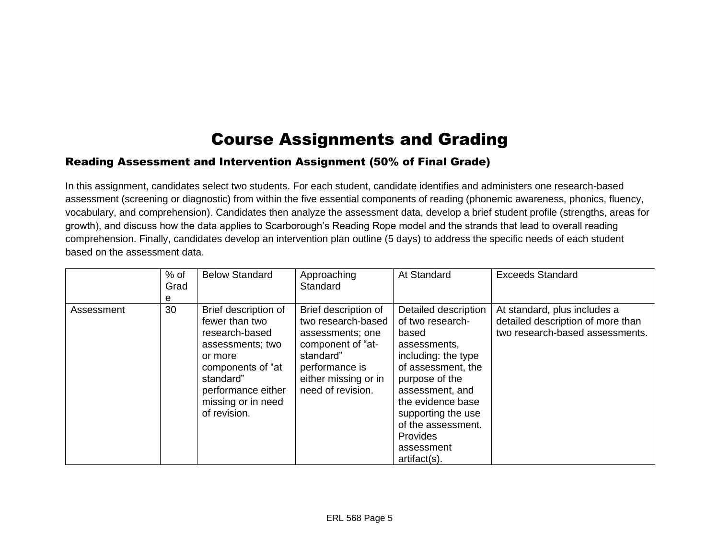# Course Assignments and Grading

### Reading Assessment and Intervention Assignment (50% of Final Grade)

In this assignment, candidates select two students. For each student, candidate identifies and administers one research-based assessment (screening or diagnostic) from within the five essential components of reading (phonemic awareness, phonics, fluency, vocabulary, and comprehension). Candidates then analyze the assessment data, develop a brief student profile (strengths, areas for growth), and discuss how the data applies to Scarborough's Reading Rope model and the strands that lead to overall reading comprehension. Finally, candidates develop an intervention plan outline (5 days) to address the specific needs of each student based on the assessment data.

|            | $%$ of<br>Grad<br>е | <b>Below Standard</b>                                                                                                                                                                 | Approaching<br>Standard                                                                                                                                         | At Standard                                                                                                                                                                                                                                                           | <b>Exceeds Standard</b>                                                                              |
|------------|---------------------|---------------------------------------------------------------------------------------------------------------------------------------------------------------------------------------|-----------------------------------------------------------------------------------------------------------------------------------------------------------------|-----------------------------------------------------------------------------------------------------------------------------------------------------------------------------------------------------------------------------------------------------------------------|------------------------------------------------------------------------------------------------------|
| Assessment | 30                  | Brief description of<br>fewer than two<br>research-based<br>assessments; two<br>or more<br>components of "at<br>standard"<br>performance either<br>missing or in need<br>of revision. | Brief description of<br>two research-based<br>assessments; one<br>component of "at-<br>standard"<br>performance is<br>either missing or in<br>need of revision. | Detailed description<br>of two research-<br>based<br>assessments,<br>including: the type<br>of assessment, the<br>purpose of the<br>assessment, and<br>the evidence base<br>supporting the use<br>of the assessment.<br><b>Provides</b><br>assessment<br>artifact(s). | At standard, plus includes a<br>detailed description of more than<br>two research-based assessments. |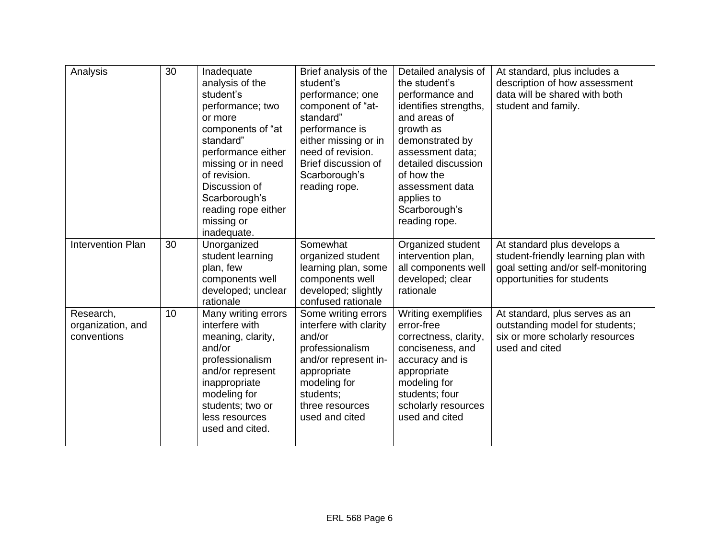| Analysis                                      | 30 | Inadequate<br>analysis of the<br>student's<br>performance; two<br>or more<br>components of "at<br>standard"<br>performance either<br>missing or in need<br>of revision.<br>Discussion of<br>Scarborough's<br>reading rope either<br>missing or<br>inadequate. | Brief analysis of the<br>student's<br>performance; one<br>component of "at-<br>standard"<br>performance is<br>either missing or in<br>need of revision.<br>Brief discussion of<br>Scarborough's<br>reading rope. | Detailed analysis of<br>the student's<br>performance and<br>identifies strengths,<br>and areas of<br>growth as<br>demonstrated by<br>assessment data;<br>detailed discussion<br>of how the<br>assessment data<br>applies to<br>Scarborough's<br>reading rope. | At standard, plus includes a<br>description of how assessment<br>data will be shared with both<br>student and family.                   |
|-----------------------------------------------|----|---------------------------------------------------------------------------------------------------------------------------------------------------------------------------------------------------------------------------------------------------------------|------------------------------------------------------------------------------------------------------------------------------------------------------------------------------------------------------------------|---------------------------------------------------------------------------------------------------------------------------------------------------------------------------------------------------------------------------------------------------------------|-----------------------------------------------------------------------------------------------------------------------------------------|
| <b>Intervention Plan</b>                      | 30 | Unorganized<br>student learning<br>plan, few<br>components well<br>developed; unclear<br>rationale                                                                                                                                                            | Somewhat<br>organized student<br>learning plan, some<br>components well<br>developed; slightly<br>confused rationale                                                                                             | Organized student<br>intervention plan,<br>all components well<br>developed; clear<br>rationale                                                                                                                                                               | At standard plus develops a<br>student-friendly learning plan with<br>goal setting and/or self-monitoring<br>opportunities for students |
| Research,<br>organization, and<br>conventions | 10 | Many writing errors<br>interfere with<br>meaning, clarity,<br>and/or<br>professionalism<br>and/or represent<br>inappropriate<br>modeling for<br>students; two or<br>less resources<br>used and cited.                                                         | Some writing errors<br>interfere with clarity<br>and/or<br>professionalism<br>and/or represent in-<br>appropriate<br>modeling for<br>students;<br>three resources<br>used and cited                              | Writing exemplifies<br>error-free<br>correctness, clarity,<br>conciseness, and<br>accuracy and is<br>appropriate<br>modeling for<br>students; four<br>scholarly resources<br>used and cited                                                                   | At standard, plus serves as an<br>outstanding model for students;<br>six or more scholarly resources<br>used and cited                  |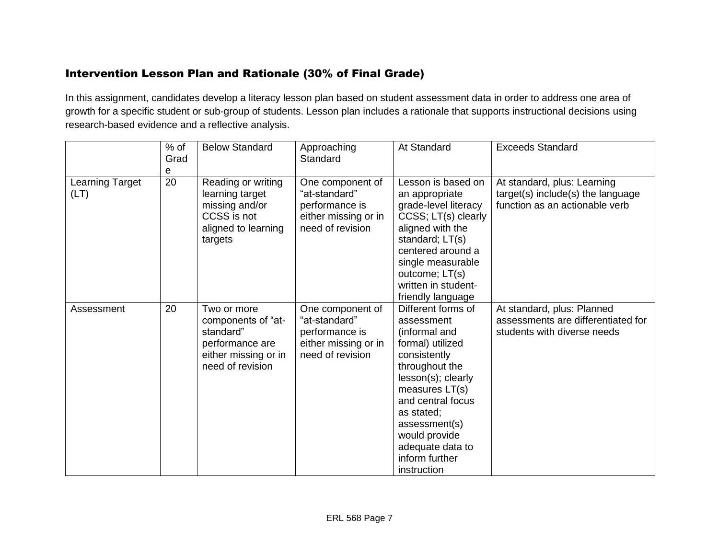### Intervention Lesson Plan and Rationale (30% of Final Grade)

In this assignment, candidates develop a literacy lesson plan based on student assessment data in order to address one area of growth for a specific student or sub-group of students. Lesson plan includes a rationale that supports instructional decisions using research-based evidence and a reflective analysis.

|                                | $%$ of<br>Grad<br>е | <b>Below Standard</b>                                                                                         | Approaching<br>Standard                                                                         | At Standard                                                                                                                                                                                                                                                                 | <b>Exceeds Standard</b>                                                                            |
|--------------------------------|---------------------|---------------------------------------------------------------------------------------------------------------|-------------------------------------------------------------------------------------------------|-----------------------------------------------------------------------------------------------------------------------------------------------------------------------------------------------------------------------------------------------------------------------------|----------------------------------------------------------------------------------------------------|
| <b>Learning Target</b><br>(LT) | 20                  | Reading or writing<br>learning target<br>missing and/or<br>CCSS is not<br>aligned to learning<br>targets      | One component of<br>"at-standard"<br>performance is<br>either missing or in<br>need of revision | Lesson is based on<br>an appropriate<br>grade-level literacy<br>CCSS; LT(s) clearly<br>aligned with the<br>standard; LT(s)<br>centered around a<br>single measurable<br>outcome; LT(s)<br>written in student-<br>friendly language                                          | At standard, plus: Learning<br>target(s) include(s) the language<br>function as an actionable verb |
| Assessment                     | 20                  | Two or more<br>components of "at-<br>standard"<br>performance are<br>either missing or in<br>need of revision | One component of<br>"at-standard"<br>performance is<br>either missing or in<br>need of revision | Different forms of<br>assessment<br>(informal and<br>formal) utilized<br>consistently<br>throughout the<br>lesson(s); clearly<br>measures $LT(s)$<br>and central focus<br>as stated;<br>assessment(s)<br>would provide<br>adequate data to<br>inform further<br>instruction | At standard, plus: Planned<br>assessments are differentiated for<br>students with diverse needs    |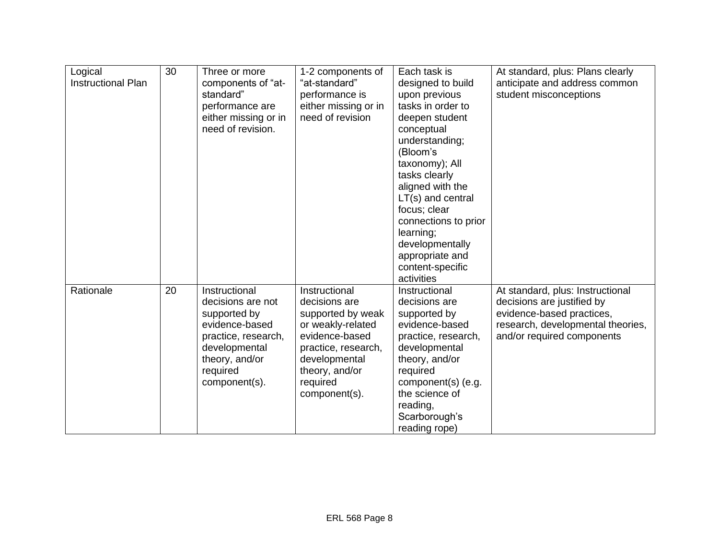| Logical<br><b>Instructional Plan</b> | 30 | Three or more<br>components of "at-<br>standard"<br>performance are<br>either missing or in<br>need of revision.                                            | 1-2 components of<br>"at-standard"<br>performance is<br>either missing or in<br>need of revision                                                                                  | Each task is<br>designed to build<br>upon previous<br>tasks in order to<br>deepen student<br>conceptual<br>understanding;<br>(Bloom's<br>taxonomy); All<br>tasks clearly<br>aligned with the<br>$LT(s)$ and central<br>focus; clear<br>connections to prior<br>learning;<br>developmentally<br>appropriate and | At standard, plus: Plans clearly<br>anticipate and address common<br>student misconceptions                                                                    |
|--------------------------------------|----|-------------------------------------------------------------------------------------------------------------------------------------------------------------|-----------------------------------------------------------------------------------------------------------------------------------------------------------------------------------|----------------------------------------------------------------------------------------------------------------------------------------------------------------------------------------------------------------------------------------------------------------------------------------------------------------|----------------------------------------------------------------------------------------------------------------------------------------------------------------|
|                                      |    |                                                                                                                                                             |                                                                                                                                                                                   | content-specific                                                                                                                                                                                                                                                                                               |                                                                                                                                                                |
|                                      |    |                                                                                                                                                             |                                                                                                                                                                                   | activities                                                                                                                                                                                                                                                                                                     |                                                                                                                                                                |
| Rationale                            | 20 | Instructional<br>decisions are not<br>supported by<br>evidence-based<br>practice, research,<br>developmental<br>theory, and/or<br>required<br>component(s). | Instructional<br>decisions are<br>supported by weak<br>or weakly-related<br>evidence-based<br>practice, research,<br>developmental<br>theory, and/or<br>required<br>component(s). | Instructional<br>decisions are<br>supported by<br>evidence-based<br>practice, research,<br>developmental<br>theory, and/or<br>required<br>component(s) (e.g.<br>the science of<br>reading,<br>Scarborough's<br>reading rope)                                                                                   | At standard, plus: Instructional<br>decisions are justified by<br>evidence-based practices,<br>research, developmental theories,<br>and/or required components |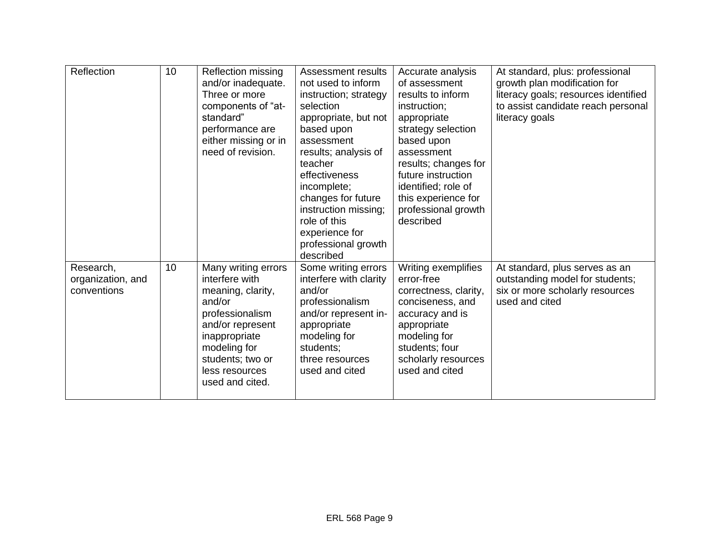| Reflection                                    | 10 | <b>Reflection missing</b><br>and/or inadequate.<br>Three or more<br>components of "at-<br>standard"<br>performance are<br>either missing or in<br>need of revision.                                   | Assessment results<br>not used to inform<br>instruction; strategy<br>selection<br>appropriate, but not<br>based upon<br>assessment<br>results; analysis of<br>teacher<br>effectiveness<br>incomplete;<br>changes for future<br>instruction missing;<br>role of this<br>experience for<br>professional growth<br>described | Accurate analysis<br>of assessment<br>results to inform<br>instruction;<br>appropriate<br>strategy selection<br>based upon<br>assessment<br>results; changes for<br>future instruction<br>identified; role of<br>this experience for<br>professional growth<br>described | At standard, plus: professional<br>growth plan modification for<br>literacy goals; resources identified<br>to assist candidate reach personal<br>literacy goals |
|-----------------------------------------------|----|-------------------------------------------------------------------------------------------------------------------------------------------------------------------------------------------------------|---------------------------------------------------------------------------------------------------------------------------------------------------------------------------------------------------------------------------------------------------------------------------------------------------------------------------|--------------------------------------------------------------------------------------------------------------------------------------------------------------------------------------------------------------------------------------------------------------------------|-----------------------------------------------------------------------------------------------------------------------------------------------------------------|
| Research,<br>organization, and<br>conventions | 10 | Many writing errors<br>interfere with<br>meaning, clarity,<br>and/or<br>professionalism<br>and/or represent<br>inappropriate<br>modeling for<br>students; two or<br>less resources<br>used and cited. | Some writing errors<br>interfere with clarity<br>and/or<br>professionalism<br>and/or represent in-<br>appropriate<br>modeling for<br>students;<br>three resources<br>used and cited                                                                                                                                       | Writing exemplifies<br>error-free<br>correctness, clarity,<br>conciseness, and<br>accuracy and is<br>appropriate<br>modeling for<br>students; four<br>scholarly resources<br>used and cited                                                                              | At standard, plus serves as an<br>outstanding model for students;<br>six or more scholarly resources<br>used and cited                                          |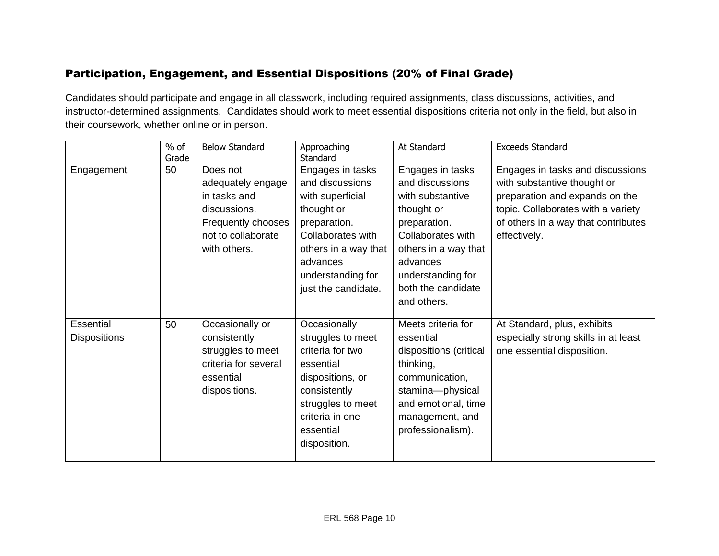### Participation, Engagement, and Essential Dispositions (20% of Final Grade)

Candidates should participate and engage in all classwork, including required assignments, class discussions, activities, and instructor-determined assignments. Candidates should work to meet essential dispositions criteria not only in the field, but also in their coursework, whether online or in person.

|                                  | $%$ of<br>Grade | <b>Below Standard</b>                                                                                                     | Approaching<br>Standard                                                                                                                                                                    | At Standard                                                                                                                                                                                              | <b>Exceeds Standard</b>                                                                                                                                                                        |
|----------------------------------|-----------------|---------------------------------------------------------------------------------------------------------------------------|--------------------------------------------------------------------------------------------------------------------------------------------------------------------------------------------|----------------------------------------------------------------------------------------------------------------------------------------------------------------------------------------------------------|------------------------------------------------------------------------------------------------------------------------------------------------------------------------------------------------|
| Engagement                       | 50              | Does not<br>adequately engage<br>in tasks and<br>discussions.<br>Frequently chooses<br>not to collaborate<br>with others. | Engages in tasks<br>and discussions<br>with superficial<br>thought or<br>preparation.<br>Collaborates with<br>others in a way that<br>advances<br>understanding for<br>just the candidate. | Engages in tasks<br>and discussions<br>with substantive<br>thought or<br>preparation.<br>Collaborates with<br>others in a way that<br>advances<br>understanding for<br>both the candidate<br>and others. | Engages in tasks and discussions<br>with substantive thought or<br>preparation and expands on the<br>topic. Collaborates with a variety<br>of others in a way that contributes<br>effectively. |
| Essential<br><b>Dispositions</b> | 50              | Occasionally or<br>consistently<br>struggles to meet<br>criteria for several<br>essential<br>dispositions.                | Occasionally<br>struggles to meet<br>criteria for two<br>essential<br>dispositions, or<br>consistently<br>struggles to meet<br>criteria in one<br>essential<br>disposition.                | Meets criteria for<br>essential<br>dispositions (critical<br>thinking,<br>communication,<br>stamina-physical<br>and emotional, time<br>management, and<br>professionalism).                              | At Standard, plus, exhibits<br>especially strong skills in at least<br>one essential disposition.                                                                                              |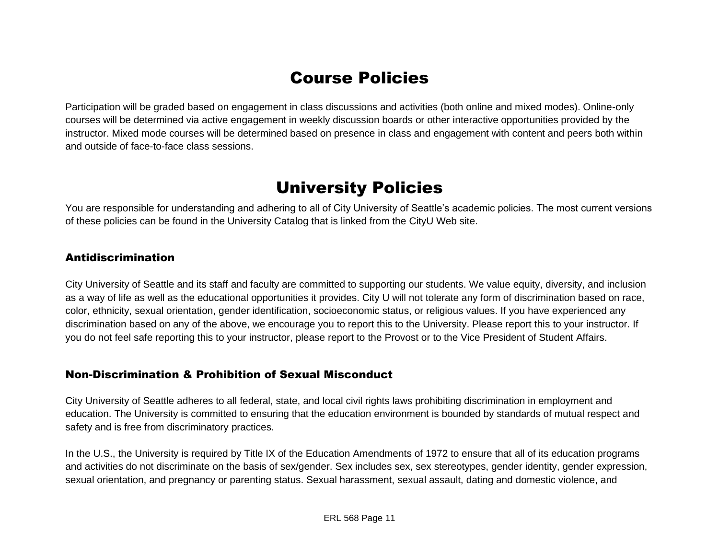# Course Policies

Participation will be graded based on engagement in class discussions and activities (both online and mixed modes). Online-only courses will be determined via active engagement in weekly discussion boards or other interactive opportunities provided by the instructor. Mixed mode courses will be determined based on presence in class and engagement with content and peers both within and outside of face-to-face class sessions.

## University Policies

You are responsible for understanding and adhering to all of City University of Seattle's academic policies. The most current versions of these policies can be found in the University Catalog that is linked from the CityU Web site.

#### Antidiscrimination

City University of Seattle and its staff and faculty are committed to supporting our students. We value equity, diversity, and inclusion as a way of life as well as the educational opportunities it provides. City U will not tolerate any form of discrimination based on race, color, ethnicity, sexual orientation, gender identification, socioeconomic status, or religious values. If you have experienced any discrimination based on any of the above, we encourage you to report this to the University. Please report this to your instructor. If you do not feel safe reporting this to your instructor, please report to the Provost or to the Vice President of Student Affairs.

#### Non-Discrimination & Prohibition of Sexual Misconduct

City University of Seattle adheres to all federal, state, and local civil rights laws prohibiting discrimination in employment and education. The University is committed to ensuring that the education environment is bounded by standards of mutual respect and safety and is free from discriminatory practices.

In the U.S., the University is required by Title IX of the Education Amendments of 1972 to ensure that all of its education programs and activities do not discriminate on the basis of sex/gender. Sex includes sex, sex stereotypes, gender identity, gender expression, sexual orientation, and pregnancy or parenting status. Sexual harassment, sexual assault, dating and domestic violence, and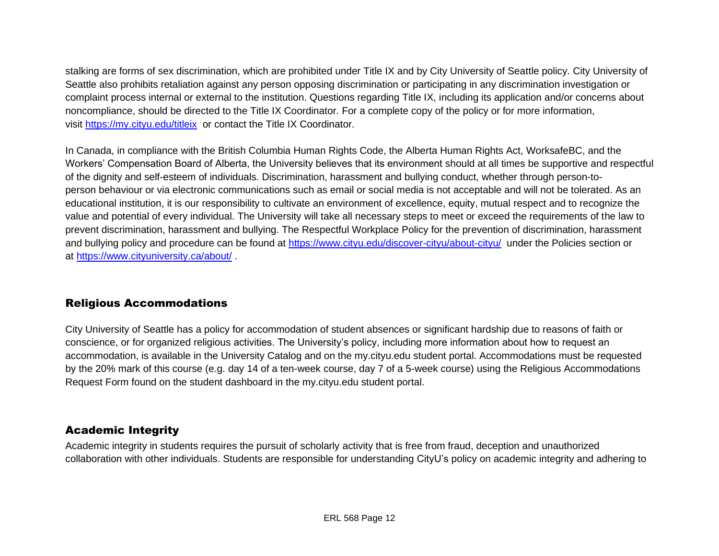stalking are forms of sex discrimination, which are prohibited under Title IX and by City University of Seattle policy. City University of Seattle also prohibits retaliation against any person opposing discrimination or participating in any discrimination investigation or complaint process internal or external to the institution. Questions regarding Title IX, including its application and/or concerns about noncompliance, should be directed to the Title IX Coordinator. For a complete copy of the policy or for more information, visit [https://my.cityu.edu/titleix](https://nam11.safelinks.protection.outlook.com/?url=https%3A%2F%2Fmy.cityu.edu%2Ftitleix&data=04%7C01%7Claker%40cityu.edu%7Cbc558c70c10340dbaa2408d9172365a0%7Cb3fa96d9f5154662add763d854e39e63%7C1%7C0%7C637566263054321964%7CUnknown%7CTWFpbGZsb3d8eyJWIjoiMC4wLjAwMDAiLCJQIjoiV2luMzIiLCJBTiI6Ik1haWwiLCJXVCI6Mn0%3D%7C1000&sdata=GX0hgfxN2OMKFTKjD04gqvwwyU44mfnCmEdCtsEzab0%3D&reserved=0) or contact the Title IX Coordinator.

In Canada, in compliance with the British Columbia Human Rights Code, the Alberta Human Rights Act, WorksafeBC, and the Workers' Compensation Board of Alberta, the University believes that its environment should at all times be supportive and respectful of the dignity and self-esteem of individuals. Discrimination, harassment and bullying conduct, whether through person-toperson behaviour or via electronic communications such as email or social media is not acceptable and will not be tolerated. As an educational institution, it is our responsibility to cultivate an environment of excellence, equity, mutual respect and to recognize the value and potential of every individual. The University will take all necessary steps to meet or exceed the requirements of the law to prevent discrimination, harassment and bullying. The Respectful Workplace Policy for the prevention of discrimination, harassment and bullying policy and procedure can be found at [https://www.cityu.edu/discover-cityu/about-cityu/](https://nam11.safelinks.protection.outlook.com/?url=https%3A%2F%2Fwww.cityu.edu%2Fdiscover-cityu%2Fabout-cityu%2F&data=04%7C01%7Claker%40cityu.edu%7Cbc558c70c10340dbaa2408d9172365a0%7Cb3fa96d9f5154662add763d854e39e63%7C1%7C0%7C637566263054331957%7CUnknown%7CTWFpbGZsb3d8eyJWIjoiMC4wLjAwMDAiLCJQIjoiV2luMzIiLCJBTiI6Ik1haWwiLCJXVCI6Mn0%3D%7C1000&sdata=7Q6QoqwuNLfeOJPewViWSeIwRIBy%2BoqDOiP8xSHYm78%3D&reserved=0) under the Policies section or at [https://www.cityuniversity.ca/about/](https://nam11.safelinks.protection.outlook.com/?url=https%3A%2F%2Fwww.cityuniversity.ca%2Fabout%2F&data=04%7C01%7Claker%40cityu.edu%7Cbc558c70c10340dbaa2408d9172365a0%7Cb3fa96d9f5154662add763d854e39e63%7C1%7C0%7C637566263054331957%7CUnknown%7CTWFpbGZsb3d8eyJWIjoiMC4wLjAwMDAiLCJQIjoiV2luMzIiLCJBTiI6Ik1haWwiLCJXVCI6Mn0%3D%7C1000&sdata=TX6bXEiU0CC6hC1mrTnKpuJywbR06qAj7RMu8QC4RUA%3D&reserved=0) .

#### Religious Accommodations

City University of Seattle has a policy for accommodation of student absences or significant hardship due to reasons of faith or conscience, or for organized religious activities. The University's policy, including more information about how to request an accommodation, is available in the University Catalog and on the my.cityu.edu student portal. Accommodations must be requested by the 20% mark of this course (e.g. day 14 of a ten-week course, day 7 of a 5-week course) using the Religious Accommodations Request Form found on the student dashboard in the my.cityu.edu student portal.

#### Academic Integrity

Academic integrity in students requires the pursuit of scholarly activity that is free from fraud, deception and unauthorized collaboration with other individuals. Students are responsible for understanding CityU's policy on academic integrity and adhering to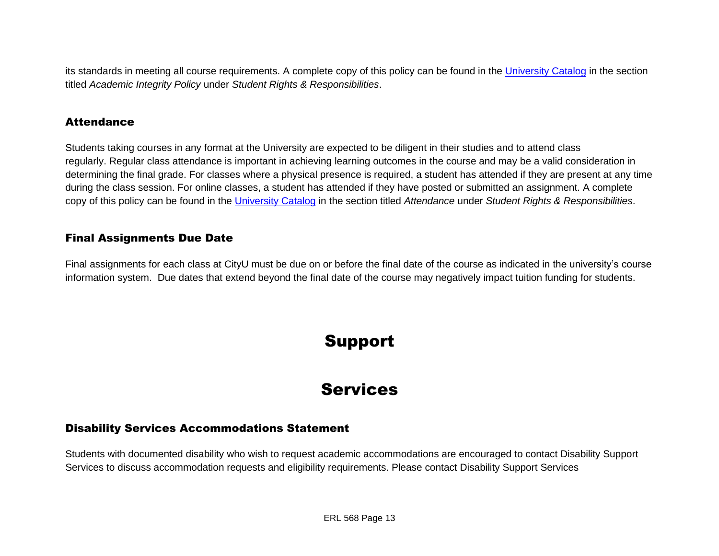its standards in meeting all course requirements. A complete copy of this policy can be found in the [University Catalog](https://nam11.safelinks.protection.outlook.com/?url=http%3A%2F%2Fwww.cityu.edu%2Fcatalog%2F&data=04%7C01%7Claker%40cityu.edu%7Cbc558c70c10340dbaa2408d9172365a0%7Cb3fa96d9f5154662add763d854e39e63%7C1%7C0%7C637566263054341952%7CUnknown%7CTWFpbGZsb3d8eyJWIjoiMC4wLjAwMDAiLCJQIjoiV2luMzIiLCJBTiI6Ik1haWwiLCJXVCI6Mn0%3D%7C1000&sdata=aL6fsSyLtVzJgdrlE9PtZXb%2F3H6wCdrvPcw4zOoEYTI%3D&reserved=0) in the section titled *Academic Integrity Policy* under *Student Rights & Responsibilities*.

#### **Attendance**

Students taking courses in any format at the University are expected to be diligent in their studies and to attend class regularly. Regular class attendance is important in achieving learning outcomes in the course and may be a valid consideration in determining the final grade. For classes where a physical presence is required, a student has attended if they are present at any time during the class session. For online classes, a student has attended if they have posted or submitted an assignment. A complete copy of this policy can be found in the [University Catalog](https://nam11.safelinks.protection.outlook.com/?url=http%3A%2F%2Fwww.cityu.edu%2Fcatalog%2F&data=04%7C01%7Claker%40cityu.edu%7Cbc558c70c10340dbaa2408d9172365a0%7Cb3fa96d9f5154662add763d854e39e63%7C1%7C0%7C637566263054341952%7CUnknown%7CTWFpbGZsb3d8eyJWIjoiMC4wLjAwMDAiLCJQIjoiV2luMzIiLCJBTiI6Ik1haWwiLCJXVCI6Mn0%3D%7C1000&sdata=aL6fsSyLtVzJgdrlE9PtZXb%2F3H6wCdrvPcw4zOoEYTI%3D&reserved=0) in the section titled *Attendance* under *Student Rights & Responsibilities*.

#### Final Assignments Due Date

Final assignments for each class at CityU must be due on or before the final date of the course as indicated in the university's course information system. Due dates that extend beyond the final date of the course may negatively impact tuition funding for students.

## Support

### **Services**

#### Disability Services Accommodations Statement

Students with documented disability who wish to request academic accommodations are encouraged to contact Disability Support Services to discuss accommodation requests and eligibility requirements. Please contact Disability Support Services